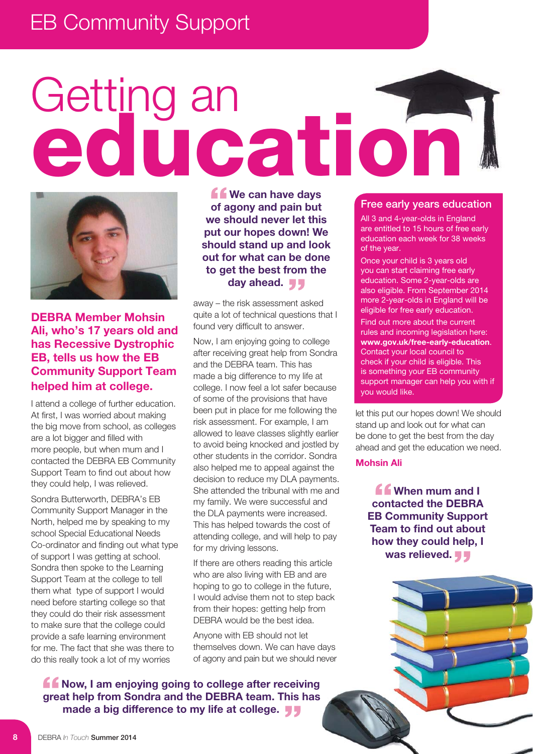## EB Community Support

# Getting an **education**



**DEBRA Member Mohsin** Ali. who's 17 years old and **has Recessive Dystrophic EB. tells us how the EB Community Support Team helped him at college.** 

I attend a college of further education. At first, I was worried about making the big move from school, as colleges are a lot bigger and filled with more people, but when mum and I contacted the DEBRA EB Community Support Team to find out about how they could help, I was relieved.

Sondra Butterworth, DEBRA's EB Community Support Manager in the North, helped me by speaking to my school Special Educational Needs Co-ordinator and finding out what type of support I was getting at school. Sondra then spoke to the Learning Support Team at the college to tell them what type of support I would need before starting college so that they could do their risk assessment to make sure that the college could provide a safe learning environment for me. The fact that she was there to do this really took a lot of my worries

*<u>f</u>* We can have days of agony and pain but **we should never let this put our hopes down! We should stand up and look out for what can be done** to get the best from the day ahead. **11** 

away – the risk assessment asked quite a lot of technical questions that I found very difficult to answer.

Now, I am enjoying going to college after receiving great help from Sondra and the DEBRA team. This has made a big difference to my life at college. I now feel a lot safer because of some of the provisions that have been put in place for me following the risk assessment. For example, I am allowed to leave classes slightly earlier to avoid being knocked and jostled by other students in the corridor. Sondra also helped me to appeal against the decision to reduce my DLA payments. She attended the tribunal with me and my family. We were successful and the DLA payments were increased. This has helped towards the cost of attending college, and will help to pay for my driving lessons.

If there are others reading this article who are also living with EB and are hoping to go to college in the future, I would advise them not to step back from their hopes: getting help from DEBRA would be the best idea.

Anyone with EB should not let themselves down. We can have days of agony and pain but we should never

**60 Now, I am enjoying going to college after receiving** great help from Sondra and the DEBRA team. This has **made a big difference to my life at college.** 

#### **Free early years education**

All 3 and 4-year-olds in England are entitled to 15 hours of free early education each week for 38 weeks of the year.

Once your child is 3 years old you can start claiming free early education. Some 2-year-olds are also eligible. From September 2014 more 2-year-olds in England will be eligible for free early education.

Find out more about the current rules and incoming legislation here: www.gov.uk/free-early-education. Contact your local council to check if your child is eligible. This is something your EB community support manager can help you with if you would like.

let this put our hopes down! We should stand up and look out for what can be done to get the best from the day ahead and get the education we need.

#### **Mohsin Ali**

*<u>f</u>* When mum and I **contacted the DEBRA EB Community Support Team to find out about**  how they could help, I **was relieved.**